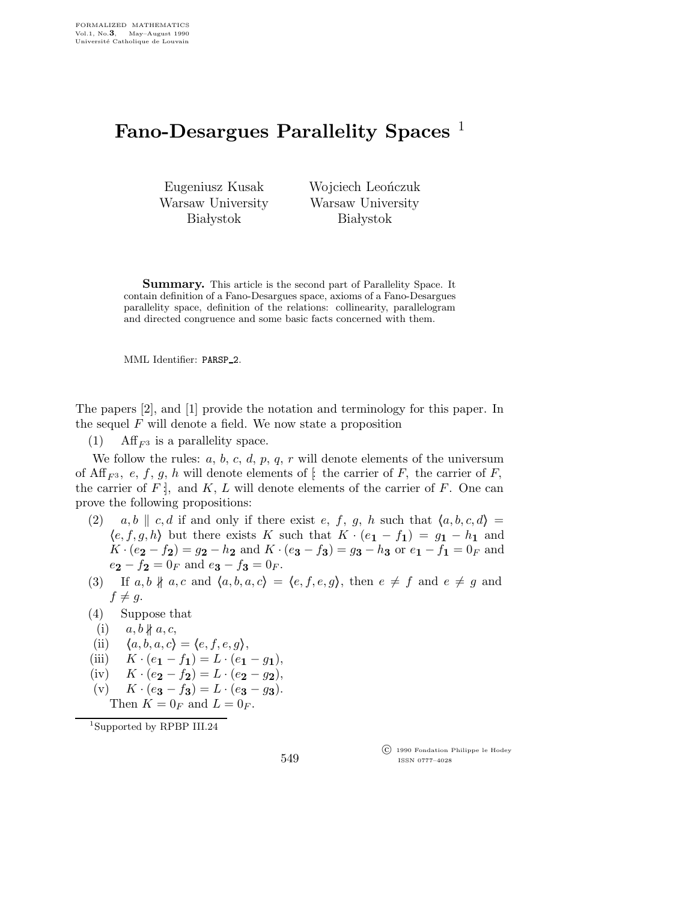## Fano-Desargues Parallelity Spaces<sup>1</sup>

Eugeniusz Kusak Warsaw University **Białystok** 

Wojciech Leończuk Warsaw University **Białystok** 

Summary. This article is the second part of Parallelity Space. It contain definition of a Fano-Desargues space, axioms of a Fano-Desargues parallelity space, definition of the relations: collinearity, parallelogram and directed congruence and some basic facts concerned with them.

MML Identifier: PARSP 2.

The papers [2], and [1] provide the notation and terminology for this paper. In the sequel  $F$  will denote a field. We now state a proposition

(1) Aff<sub>F3</sub> is a parallelity space.

We follow the rules:  $a, b, c, d, p, q, r$  will denote elements of the universum of Aff<sub>F3</sub>, e, f, g, h will denote elements of  $\left[\right]$  the carrier of F, the carrier of F, the carrier of  $F$ , and  $K, L$  will denote elements of the carrier of  $F$ . One can prove the following propositions:

- (2) a,b || c,d if and only if there exist e, f, g, h such that  $\langle a, b, c, d \rangle =$  $\langle e,f,g,h \rangle$  but there exists K such that  $K \cdot (e_1 - f_1) = g_1 - h_1$  and  $K \cdot (e_2 - f_2) = g_2 - h_2$  and  $K \cdot (e_3 - f_3) = g_3 - h_3$  or  $e_1 - f_1 = 0_F$  and  $e_2 - f_2 = 0_F$  and  $e_3 - f_3 = 0_F$ .
- (3) If  $a, b \nparallel a, c$  and  $\langle a, b, a, c \rangle = \langle e, f, e, g \rangle$ , then  $e \neq f$  and  $e \neq g$  and  $f \neq g$ .
- (4) Suppose that
- (i)  $a, b \nparallel a, c$ ,
- (ii)  $\langle a,b,a,c \rangle = \langle e,f,e,g \rangle,$
- (iii)  $K \cdot (e_1 f_1) = L \cdot (e_1 g_1),$
- (iv)  $K \cdot (e_2 f_2) = L \cdot (e_2 g_2),$
- (v)  $K \cdot (e_3 f_3) = L \cdot (e_3 g_3).$

Then  $K = 0_F$  and  $L = 0_F$ .

<sup>1</sup>Supported by RPBP III.24

549

 c 1990 Fondation Philippe le Hodey ISSN 0777–4028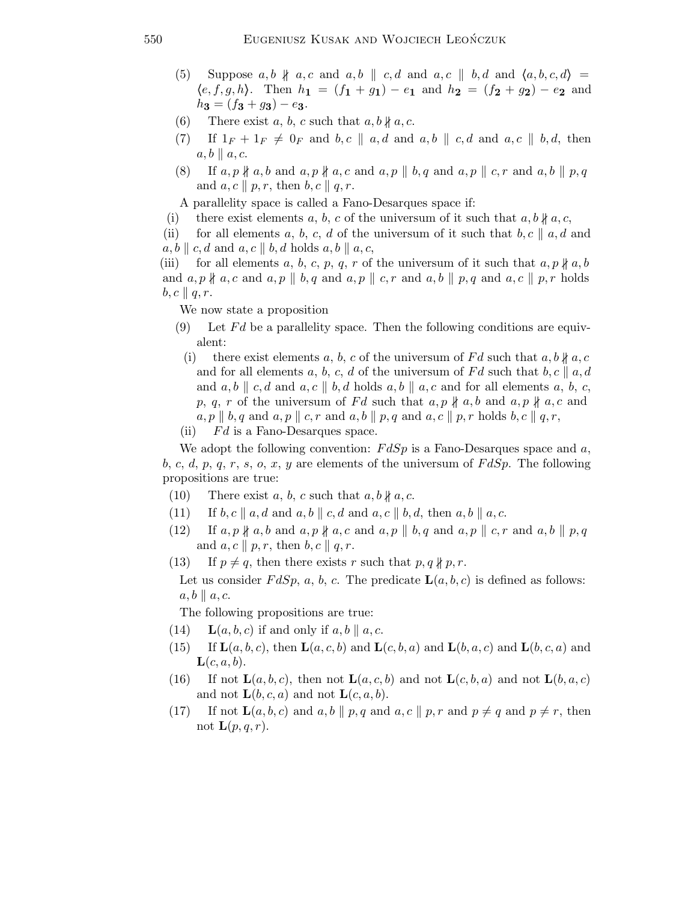- (5) Suppose  $a, b \nparallel a, c$  and  $a, b \parallel c, d$  and  $a, c \parallel b, d$  and  $\langle a, b, c, d \rangle =$  $\langle e,f,g,h\rangle$ . Then  $h_1 = (f_1 + g_1) - e_1$  and  $h_2 = (f_2 + g_2) - e_2$  and  $h_3 = (f_3 + g_3) - e_3.$
- (6) There exist a, b, c such that  $a, b \nparallel a, c$ .
- (7) If  $1_F + 1_F \neq 0_F$  and b, c  $\parallel a, d$  and a,b  $\parallel c, d$  and a,c  $\parallel b, d$ , then  $a, b \parallel a, c.$
- (8) If  $a, p \nparallel a, b$  and  $a, p \nparallel a, c$  and  $a, p \parallel b, q$  and  $a, p \parallel c, r$  and  $a, b \parallel p, q$ and  $a, c \parallel p, r$ , then  $b, c \parallel q, r$ .

A parallelity space is called a Fano-Desarques space if:

- (i) there exist elements a, b, c of the universum of it such that  $a, b \nparallel a, c$ ,
- (ii) for all elements a, b, c, d of the universum of it such that b, c  $\parallel a, d$  and  $a, b \parallel c, d$  and  $a, c \parallel b, d$  holds  $a, b \parallel a, c$ ,

(iii) for all elements a, b, c, p, q, r of the universum of it such that  $a, p \nmid a, b$ and  $a, p \nparallel a, c$  and  $a, p \parallel b, q$  and  $a, p \parallel c, r$  and  $a, b \parallel p, q$  and  $a, c \parallel p, r$  holds  $b, c \parallel q, r.$ 

We now state a proposition

- (9) Let  $Fd$  be a parallelity space. Then the following conditions are equivalent:
	- (i) there exist elements a, b, c of the universum of Fd such that  $a, b \nparallel a, c$ and for all elements a, b, c, d of the universum of Fd such that b, c  $\parallel a, d$ and  $a, b \parallel c, d$  and  $a, c \parallel b, d$  holds  $a, b \parallel a, c$  and for all elements  $a, b, c, d$ p, q, r of the universum of Fd such that  $a, p \nparallel a, b$  and  $a, p \nparallel a, c$  and  $a, p \parallel b, q$  and  $a, p \parallel c, r$  and  $a, b \parallel p, q$  and  $a, c \parallel p, r$  holds  $b, c \parallel q, r$ ,
- (ii)  $Fd$  is a Fano-Desarques space.

We adopt the following convention:  $FdSp$  is a Fano-Desarques space and a, b, c, d, p, q, r, s, o, x, y are elements of the universum of  $FdSp$ . The following propositions are true:

- (10) There exist a, b, c such that  $a, b \nparallel a, c$ .
- (11) If  $b, c \parallel a, d$  and  $a, b \parallel c, d$  and  $a, c \parallel b, d$ , then  $a, b \parallel a, c$ .
- (12) If  $a, p \nparallel a, b$  and  $a, p \nparallel a, c$  and  $a, p \parallel b, q$  and  $a, p \parallel c, r$  and  $a, b \parallel p, q$ and  $a, c \parallel p, r$ , then  $b, c \parallel q, r$ .
- (13) If  $p \neq q$ , then there exists r such that  $p, q \nmid p, r$ .
- Let us consider  $FdSp$ , a, b, c. The predicate  $\mathbf{L}(a,b,c)$  is defined as follows:  $a, b \parallel a, c.$

The following propositions are true:

- (14)  $\mathbf{L}(a,b,c)$  if and only if  $a,b \parallel a,c$ .
- (15) If  $\mathbf{L}(a,b,c)$ , then  $\mathbf{L}(a,c,b)$  and  $\mathbf{L}(c,b,a)$  and  $\mathbf{L}(b,a,c)$  and  $\mathbf{L}(b,c,a)$  and  $\mathbf{L}(c,a,b).$
- (16) If not  $\mathbf{L}(a,b,c)$ , then not  $\mathbf{L}(a,c,b)$  and not  $\mathbf{L}(c,b,a)$  and not  $\mathbf{L}(b,a,c)$ and not  $\mathbf{L}(b,c,a)$  and not  $\mathbf{L}(c,a,b)$ .
- (17) If not  $\mathbf{L}(a,b,c)$  and  $a,b \parallel p,q$  and  $a,c \parallel p,r$  and  $p \neq q$  and  $p \neq r$ , then not  $\mathbf{L}(p,q,r)$ .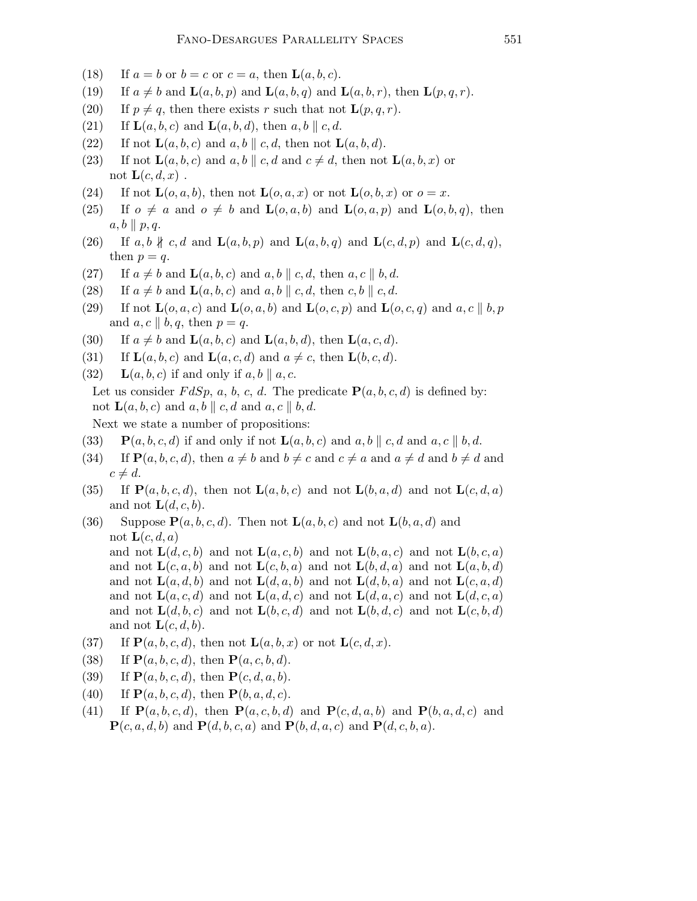- (18) If  $a = b$  or  $b = c$  or  $c = a$ , then  $\mathbf{L}(a, b, c)$ .
- (19) If  $a \neq b$  and  $\mathbf{L}(a,b,p)$  and  $\mathbf{L}(a,b,q)$  and  $\mathbf{L}(a,b,r)$ , then  $\mathbf{L}(p,q,r)$ .
- (20) If  $p \neq q$ , then there exists r such that not  $\mathbf{L}(p,q,r)$ .
- (21) If  $\mathbf{L}(a,b,c)$  and  $\mathbf{L}(a,b,d)$ , then  $a,b \parallel c,d$ .
- (22) If not  $\mathbf{L}(a,b,c)$  and  $a,b \parallel c,d$ , then not  $\mathbf{L}(a,b,d)$ .
- (23) If not  $\mathbf{L}(a,b,c)$  and  $a,b \parallel c,d$  and  $c \neq d$ , then not  $\mathbf{L}(a,b,x)$  or not  $\mathbf{L}(c,d,x)$ .
- (24) If not  $\mathbf{L}(o,a,b)$ , then not  $\mathbf{L}(o,a,x)$  or not  $\mathbf{L}(o,b,x)$  or  $o=x$ .
- (25) If  $o \neq a$  and  $o \neq b$  and  $\mathbf{L}(o,a,b)$  and  $\mathbf{L}(o,a,p)$  and  $\mathbf{L}(o,b,q)$ , then  $a, b \parallel p, q.$
- (26) If a, b  $\nparallel c, d$  and  $\mathbf{L}(a, b, p)$  and  $\mathbf{L}(a, b, q)$  and  $\mathbf{L}(c, d, p)$  and  $\mathbf{L}(c, d, q)$ , then  $p = q$ .
- (27) If  $a \neq b$  and  $\mathbf{L}(a,b,c)$  and  $a,b \parallel c,d$ , then  $a,c \parallel b,d$ .
- (28) If  $a \neq b$  and  $\mathbf{L}(a,b,c)$  and  $a,b \parallel c,d$ , then  $c,b \parallel c,d$ .
- (29) If not  $\mathbf{L}(o,a,c)$  and  $\mathbf{L}(o,a,b)$  and  $\mathbf{L}(o,c,p)$  and  $\mathbf{L}(o,c,q)$  and  $a,c \parallel b,p$ and  $a, c \parallel b, q$ , then  $p = q$ .
- (30) If  $a \neq b$  and  $\mathbf{L}(a,b,c)$  and  $\mathbf{L}(a,b,d)$ , then  $\mathbf{L}(a,c,d)$ .
- (31) If  $\mathbf{L}(a,b,c)$  and  $\mathbf{L}(a,c,d)$  and  $a \neq c$ , then  $\mathbf{L}(b,c,d)$ .
- (32)  $\mathbf{L}(a,b,c)$  if and only if  $a,b \parallel a,c$ . Let us consider  $FdSp$ , a, b, c, d. The predicate  $P(a, b, c, d)$  is defined by: not  $\mathbf{L}(a,b,c)$  and  $a,b \parallel c,d$  and  $a,c \parallel b,d$ . Next we state a number of propositions:
- (33)  $\mathbf{P}(a,b,c,d)$  if and only if not  $\mathbf{L}(a,b,c)$  and  $a,b \parallel c,d$  and  $a,c \parallel b,d$ .
- (34) If  $\mathbf{P}(a,b,c,d)$ , then  $a \neq b$  and  $b \neq c$  and  $c \neq a$  and  $a \neq d$  and  $b \neq d$  and  $c \neq d$ .
- (35) If  $\mathbf{P}(a,b,c,d)$ , then not  $\mathbf{L}(a,b,c)$  and not  $\mathbf{L}(b,a,d)$  and not  $\mathbf{L}(c,d,a)$ and not  $\mathbf{L}(d,c,b)$ .
- (36) Suppose  $P(a, b, c, d)$ . Then not  $L(a, b, c)$  and not  $L(b, a, d)$  and not  $\mathbf{L}(c,d,a)$ and not  $\mathbf{L}(d,c,b)$  and not  $\mathbf{L}(a,c,b)$  and not  $\mathbf{L}(b,a,c)$  and not  $\mathbf{L}(b,c,a)$ and not  $\mathbf{L}(c,a,b)$  and not  $\mathbf{L}(c,b,a)$  and not  $\mathbf{L}(b,d,a)$  and not  $\mathbf{L}(a,b,d)$ and not  $\mathbf{L}(a,d,b)$  and not  $\mathbf{L}(d,a,b)$  and not  $\mathbf{L}(d,b,a)$  and not  $\mathbf{L}(c,a,d)$ and not  $\mathbf{L}(a,c,d)$  and not  $\mathbf{L}(a,d,c)$  and not  $\mathbf{L}(d,a,c)$  and not  $\mathbf{L}(d,c,a)$ and not  $\mathbf{L}(d,b,c)$  and not  $\mathbf{L}(b,c,d)$  and not  $\mathbf{L}(b,d,c)$  and not  $\mathbf{L}(c,b,d)$ and not  $\mathbf{L}(c,d,b)$ .
- (37) If  $\mathbf{P}(a,b,c,d)$ , then not  $\mathbf{L}(a,b,x)$  or not  $\mathbf{L}(c,d,x)$ .
- (38) If  $P(a, b, c, d)$ , then  $P(a, c, b, d)$ .
- (39) If  $P(a, b, c, d)$ , then  $P(c, d, a, b)$ .
- (40) If  $P(a, b, c, d)$ , then  $P(b, a, d, c)$ .
- (41) If  $\mathbf{P}(a,b,c,d)$ , then  $\mathbf{P}(a,c,b,d)$  and  $\mathbf{P}(c,d,a,b)$  and  $\mathbf{P}(b,a,d,c)$  and  $\mathbf{P}(c,a,d,b)$  and  $\mathbf{P}(d,b,c,a)$  and  $\mathbf{P}(b,d,a,c)$  and  $\mathbf{P}(d,c,b,a)$ .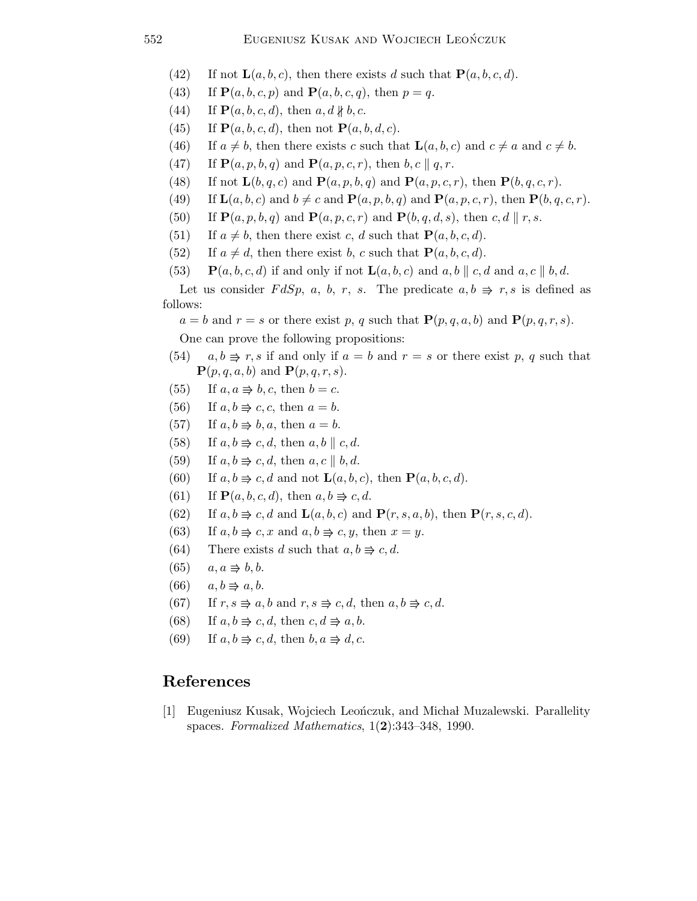- (42) If not  $\mathbf{L}(a,b,c)$ , then there exists d such that  $\mathbf{P}(a,b,c,d)$ .
- (43) If  $P(a, b, c, p)$  and  $P(a, b, c, q)$ , then  $p = q$ .
- (44) If  $\mathbf{P}(a, b, c, d)$ , then  $a, d \nparallel b, c$ .
- (45) If  $\mathbf{P}(a,b,c,d)$ , then not  $\mathbf{P}(a,b,d,c)$ .
- (46) If  $a \neq b$ , then there exists c such that  $\mathbf{L}(a,b,c)$  and  $c \neq a$  and  $c \neq b$ .
- (47) If  $\mathbf{P}(a,p,b,q)$  and  $\mathbf{P}(a,p,c,r)$ , then  $b,c \parallel q,r$ .
- (48) If not  $\mathbf{L}(b,q,c)$  and  $\mathbf{P}(a,p,b,q)$  and  $\mathbf{P}(a,p,c,r)$ , then  $\mathbf{P}(b,q,c,r)$ .
- (49) If  $\mathbf{L}(a,b,c)$  and  $b \neq c$  and  $\mathbf{P}(a,p,b,q)$  and  $\mathbf{P}(a,p,c,r)$ , then  $\mathbf{P}(b,q,c,r)$ .
- (50) If  $\mathbf{P}(a,p,b,q)$  and  $\mathbf{P}(a,p,c,r)$  and  $\mathbf{P}(b,q,d,s)$ , then c, d || r, s.
- (51) If  $a \neq b$ , then there exist c, d such that  $\mathbf{P}(a,b,c,d)$ .
- (52) If  $a \neq d$ , then there exist b, c such that  $\mathbf{P}(a,b,c,d)$ .
- (53)  $\mathbf{P}(a,b,c,d)$  if and only if not  $\mathbf{L}(a,b,c)$  and  $a,b \parallel c,d$  and  $a,c \parallel b,d$ .

Let us consider  $FdSp$ , a, b, r, s. The predicate  $a,b \Rightarrow r,s$  is defined as follows:

 $a = b$  and  $r = s$  or there exist p, q such that  $P(p,q,a,b)$  and  $P(p,q,r,s)$ .

One can prove the following propositions:

- (54)  $a, b \Rightarrow r, s$  if and only if  $a = b$  and  $r = s$  or there exist p, q such that  $\mathbf{P}(p,q,a,b)$  and  $\mathbf{P}(p,q,r,s)$ .
- (55) If  $a, a \Rightarrow b, c$ , then  $b = c$ .
- (56) If  $a, b \Rightarrow c, c$ , then  $a = b$ .
- (57) If  $a, b \Rightarrow b, a$ , then  $a = b$ .
- (58) If  $a, b \Rightarrow c, d$ , then  $a, b \parallel c, d$ .
- (59) If  $a, b \Rightarrow c, d$ , then  $a, c \parallel b, d$ .
- (60) If  $a, b \Rightarrow c, d$  and not  $\mathbf{L}(a, b, c)$ , then  $\mathbf{P}(a, b, c, d)$ .
- (61) If  $\mathbf{P}(a,b,c,d)$ , then  $a,b \Rightarrow c,d$ .
- (62) If  $a, b \Rightarrow c, d$  and  $\mathbf{L}(a, b, c)$  and  $\mathbf{P}(r, s, a, b)$ , then  $\mathbf{P}(r, s, c, d)$ .
- (63) If  $a, b \Rightarrow c, x$  and  $a, b \Rightarrow c, y$ , then  $x = y$ .
- (64) There exists d such that  $a, b \Rightarrow c, d$ .
- $(65)$   $a, a \Rightarrow b, b.$
- $(66)$   $a, b \Rightarrow a, b.$
- (67) If  $r, s \Rightarrow a, b$  and  $r, s \Rightarrow c, d$ , then  $a, b \Rightarrow c, d$ .
- (68) If  $a, b \Rightarrow c, d$ , then  $c, d \Rightarrow a, b$ .
- (69) If  $a, b \Rightarrow c, d$ , then  $b, a \Rightarrow d, c$ .

## References

[1] Eugeniusz Kusak, Wojciech Leonczuk, and Michał Muzalewski. Parallelity spaces. Formalized Mathematics, 1(2):343–348, 1990.